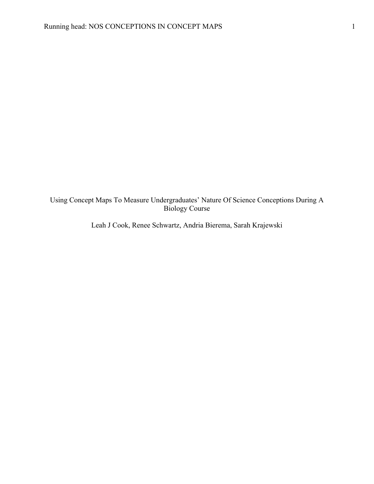# Using Concept Maps To Measure Undergraduates' Nature Of Science Conceptions During A Biology Course

Leah J Cook, Renee Schwartz, Andria Bierema, Sarah Krajewski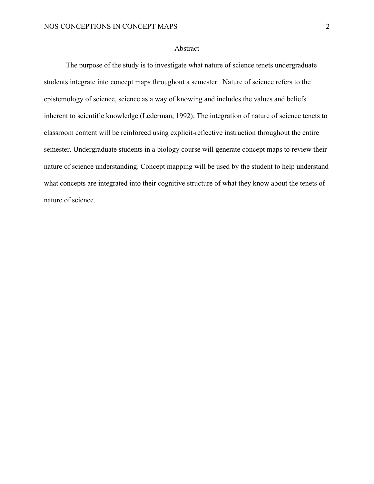## Abstract

The purpose of the study is to investigate what nature of science tenets undergraduate students integrate into concept maps throughout a semester. Nature of science refers to the epistemology of science, science as a way of knowing and includes the values and beliefs inherent to scientific knowledge (Lederman, 1992). The integration of nature of science tenets to classroom content will be reinforced using explicit-reflective instruction throughout the entire semester. Undergraduate students in a biology course will generate concept maps to review their nature of science understanding. Concept mapping will be used by the student to help understand what concepts are integrated into their cognitive structure of what they know about the tenets of nature of science.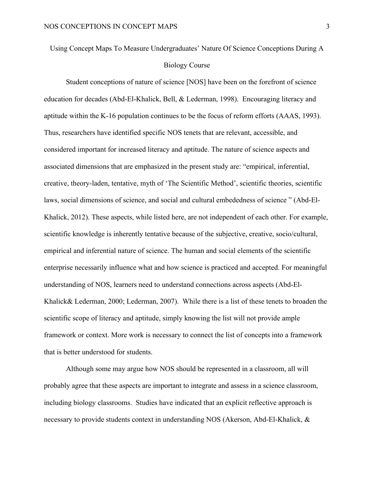# Using Concept Maps To Measure Undergraduates' Nature Of Science Conceptions During A Biology Course

Student conceptions of nature of science [NOS] have been on the forefront of science education for decades (Abd-El-Khalick, Bell, & Lederman, 1998). Encouraging literacy and aptitude within the K-16 population continues to be the focus of reform efforts (AAAS, 1993). Thus, researchers have identified specific NOS tenets that are relevant, accessible, and considered important for increased literacy and aptitude. The nature of science aspects and associated dimensions that are emphasized in the present study are: "empirical, inferential, creative, theory-laden, tentative, myth of 'The Scientific Method', scientific theories, scientific laws, social dimensions of science, and social and cultural embededness of science " (Abd-El-Khalick, 2012). These aspects, while listed here, are not independent of each other. For example, scientific knowledge is inherently tentative because of the subjective, creative, socio/cultural, empirical and inferential nature of science. The human and social elements of the scientific enterprise necessarily influence what and how science is practiced and accepted. For meaningful understanding of NOS, learners need to understand connections across aspects (Abd-El-Khalick& Lederman, 2000; Lederman, 2007). While there is a list of these tenets to broaden the scientific scope of literacy and aptitude, simply knowing the list will not provide ample framework or context. More work is necessary to connect the list of concepts into a framework that is better understood for students.

Although some may argue how NOS should be represented in a classroom, all will probably agree that these aspects are important to integrate and assess in a science classroom, including biology classrooms. Studies have indicated that an explicit reflective approach is necessary to provide students context in understanding NOS (Akerson, Abd-El-Khalick, &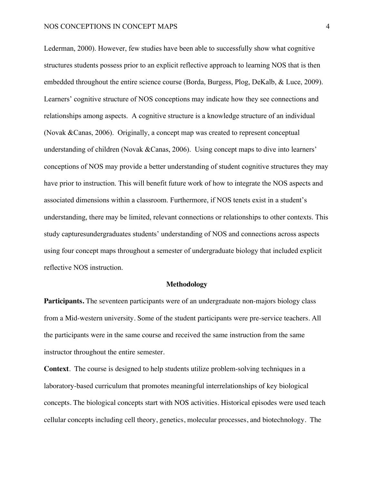#### NOS CONCEPTIONS IN CONCEPT MAPS 4

Lederman, 2000). However, few studies have been able to successfully show what cognitive structures students possess prior to an explicit reflective approach to learning NOS that is then embedded throughout the entire science course (Borda, Burgess, Plog, DeKalb, & Luce, 2009). Learners' cognitive structure of NOS conceptions may indicate how they see connections and relationships among aspects. A cognitive structure is a knowledge structure of an individual (Novak &Canas, 2006). Originally, a concept map was created to represent conceptual understanding of children (Novak &Canas, 2006). Using concept maps to dive into learners' conceptions of NOS may provide a better understanding of student cognitive structures they may have prior to instruction. This will benefit future work of how to integrate the NOS aspects and associated dimensions within a classroom. Furthermore, if NOS tenets exist in a student's understanding, there may be limited, relevant connections or relationships to other contexts. This study capturesundergraduates students' understanding of NOS and connections across aspects using four concept maps throughout a semester of undergraduate biology that included explicit reflective NOS instruction.

#### **Methodology**

Participants. The seventeen participants were of an undergraduate non-majors biology class from a Mid-western university. Some of the student participants were pre-service teachers. All the participants were in the same course and received the same instruction from the same instructor throughout the entire semester.

**Context**. The course is designed to help students utilize problem-solving techniques in a laboratory-based curriculum that promotes meaningful interrelationships of key biological concepts. The biological concepts start with NOS activities. Historical episodes were used teach cellular concepts including cell theory, genetics, molecular processes, and biotechnology. The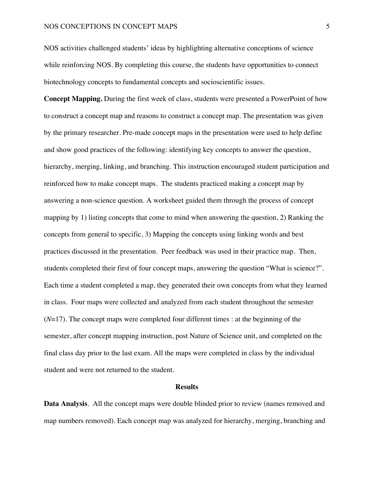NOS activities challenged students' ideas by highlighting alternative conceptions of science while reinforcing NOS. By completing this course, the students have opportunities to connect biotechnology concepts to fundamental concepts and socioscientific issues.

**Concept Mapping.** During the first week of class, students were presented a PowerPoint of how to construct a concept map and reasons to construct a concept map. The presentation was given by the primary researcher. Pre-made concept maps in the presentation were used to help define and show good practices of the following: identifying key concepts to answer the question, hierarchy, merging, linking, and branching. This instruction encouraged student participation and reinforced how to make concept maps. The students practiced making a concept map by answering a non-science question. A worksheet guided them through the process of concept mapping by 1) listing concepts that come to mind when answering the question, 2) Ranking the concepts from general to specific, 3) Mapping the concepts using linking words and best practices discussed in the presentation. Peer feedback was used in their practice map. Then, students completed their first of four concept maps, answering the question "What is science?". Each time a student completed a map, they generated their own concepts from what they learned in class. Four maps were collected and analyzed from each student throughout the semester  $(N=17)$ . The concept maps were completed four different times : at the beginning of the semester, after concept mapping instruction, post Nature of Science unit, and completed on the final class day prior to the last exam. All the maps were completed in class by the individual student and were not returned to the student.

#### **Results**

**Data Analysis**. All the concept maps were double blinded prior to review (names removed and map numbers removed). Each concept map was analyzed for hierarchy, merging, branching and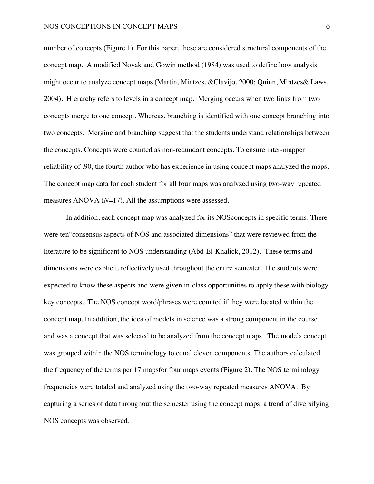number of concepts (Figure 1). For this paper, these are considered structural components of the concept map. A modified Novak and Gowin method (1984) was used to define how analysis might occur to analyze concept maps (Martin, Mintzes, &Clavijo, 2000; Quinn, Mintzes& Laws, 2004). Hierarchy refers to levels in a concept map. Merging occurs when two links from two concepts merge to one concept. Whereas, branching is identified with one concept branching into two concepts. Merging and branching suggest that the students understand relationships between the concepts. Concepts were counted as non-redundant concepts. To ensure inter-mapper reliability of .90, the fourth author who has experience in using concept maps analyzed the maps. The concept map data for each student for all four maps was analyzed using two-way repeated measures ANOVA (*N*=17). All the assumptions were assessed.

In addition, each concept map was analyzed for its NOSconcepts in specific terms. There were ten"consensus aspects of NOS and associated dimensions" that were reviewed from the literature to be significant to NOS understanding (Abd-El-Khalick, 2012). These terms and dimensions were explicit, reflectively used throughout the entire semester. The students were expected to know these aspects and were given in-class opportunities to apply these with biology key concepts. The NOS concept word/phrases were counted if they were located within the concept map. In addition, the idea of models in science was a strong component in the course and was a concept that was selected to be analyzed from the concept maps. The models concept was grouped within the NOS terminology to equal eleven components. The authors calculated the frequency of the terms per 17 mapsfor four maps events (Figure 2). The NOS terminology frequencies were totaled and analyzed using the two-way repeated measures ANOVA. By capturing a series of data throughout the semester using the concept maps, a trend of diversifying NOS concepts was observed.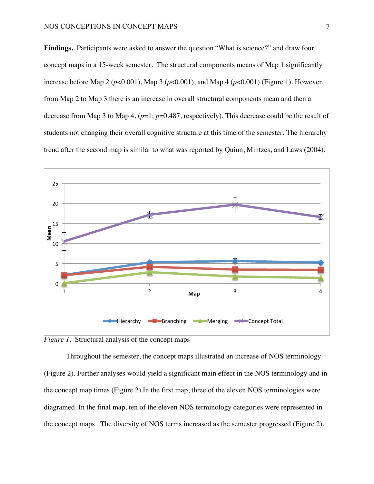**Findings.** Participants were asked to answer the question "What is science?" and draw four concept maps in a 15-week semester. The structural components means of Map 1 significantly increase before Map 2 (*p*<0.001), Map 3 (*p*<0.001), and Map 4 (*p*<0.001) (Figure 1). However, from Map 2 to Map 3 there is an increase in overall structural components mean and then a decrease from Map 3 to Map 4, (*p*=1; *p*=0.487, respectively). This decrease could be the result of students not changing their overall cognitive structure at this time of the semester. The hierarchy trend after the second map is similar to what was reported by Quinn, Mintzes, and Laws (2004).



*Figure 1.* Structural analysis of the concept maps

Throughout the semester, the concept maps illustrated an increase of NOS terminology (Figure 2). Further analyses would yield a significant main effect in the NOS terminology and in the concept map times (Figure 2).In the first map, three of the eleven NOS terminologies were diagramed. In the final map, ten of the eleven NOS terminology categories were represented in the concept maps. The diversity of NOS terms increased as the semester progressed (Figure 2).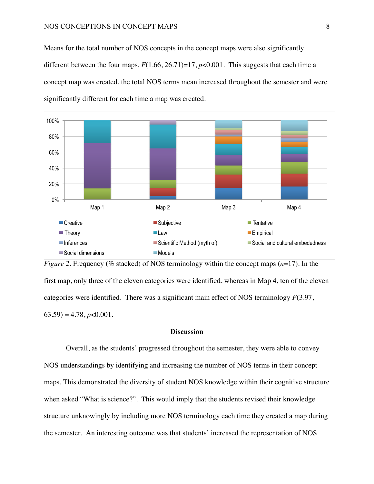Means for the total number of NOS concepts in the concept maps were also significantly different between the four maps,  $F(1.66, 26.71)=17$ ,  $p<0.001$ . This suggests that each time a concept map was created, the total NOS terms mean increased throughout the semester and were significantly different for each time a map was created.





#### **Discussion**

Overall, as the students' progressed throughout the semester, they were able to convey NOS understandings by identifying and increasing the number of NOS terms in their concept maps. This demonstrated the diversity of student NOS knowledge within their cognitive structure when asked "What is science?". This would imply that the students revised their knowledge structure unknowingly by including more NOS terminology each time they created a map during the semester. An interesting outcome was that students' increased the representation of NOS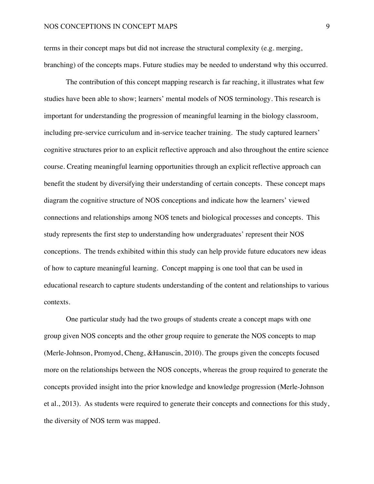terms in their concept maps but did not increase the structural complexity (e.g. merging, branching) of the concepts maps. Future studies may be needed to understand why this occurred.

The contribution of this concept mapping research is far reaching, it illustrates what few studies have been able to show; learners' mental models of NOS terminology. This research is important for understanding the progression of meaningful learning in the biology classroom, including pre-service curriculum and in-service teacher training. The study captured learners' cognitive structures prior to an explicit reflective approach and also throughout the entire science course. Creating meaningful learning opportunities through an explicit reflective approach can benefit the student by diversifying their understanding of certain concepts. These concept maps diagram the cognitive structure of NOS conceptions and indicate how the learners' viewed connections and relationships among NOS tenets and biological processes and concepts. This study represents the first step to understanding how undergraduates' represent their NOS conceptions. The trends exhibited within this study can help provide future educators new ideas of how to capture meaningful learning. Concept mapping is one tool that can be used in educational research to capture students understanding of the content and relationships to various contexts.

One particular study had the two groups of students create a concept maps with one group given NOS concepts and the other group require to generate the NOS concepts to map (Merle-Johnson, Promyod, Cheng, &Hanuscin, 2010). The groups given the concepts focused more on the relationships between the NOS concepts, whereas the group required to generate the concepts provided insight into the prior knowledge and knowledge progression (Merle-Johnson et al., 2013). As students were required to generate their concepts and connections for this study, the diversity of NOS term was mapped.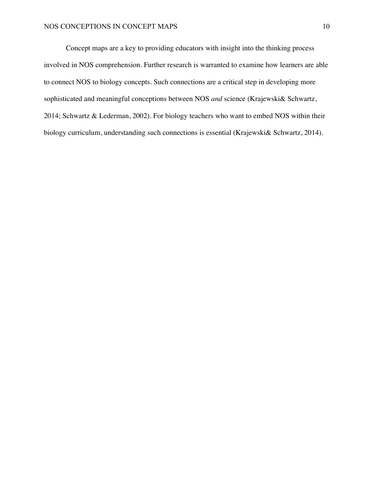Concept maps are a key to providing educators with insight into the thinking process involved in NOS comprehension. Further research is warranted to examine how learners are able to connect NOS to biology concepts. Such connections are a critical step in developing more sophisticated and meaningful conceptions between NOS *and* science (Krajewski& Schwartz, 2014; Schwartz & Lederman, 2002). For biology teachers who want to embed NOS within their biology curriculum, understanding such connections is essential (Krajewski& Schwartz, 2014).